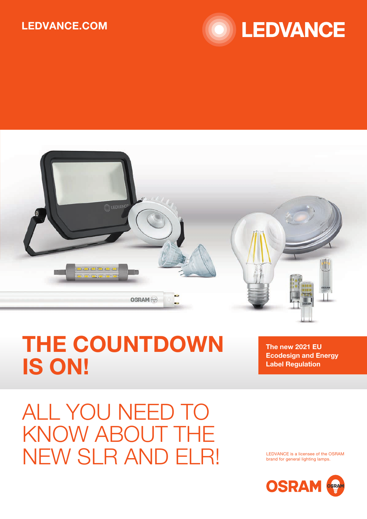## LEDVANCE.COM





## THE COUNTDOWN IS ON!

The new 2021 EU Ecodesign and Energy Label Regulation

ALL YOU NEED TO KNOW ABOUT THE NEW SLR AND ELR!

LEDVANCE is a licensee of the OSRAM brand for general lighting lamps.

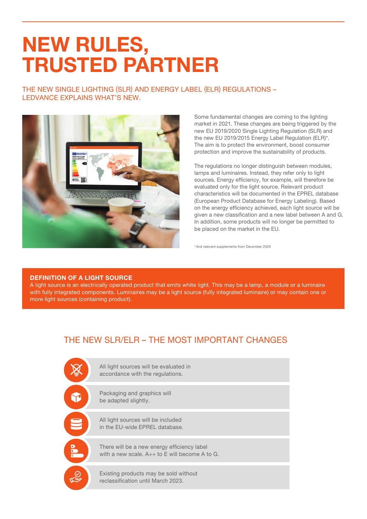## NEW RULES, TRUSTED PARTNER

THE NEW SINGLE LIGHTING (SLR) AND ENERGY LABEL (ELR) REGULATIONS – LEDVANCE EXPLAINS WHAT'S NEW.



Some fundamental changes are coming to the lighting market in 2021. These changes are being triggered by the new EU 2019/2020 Single Lighting Regulation (SLR) and the new EU 2019/2015 Energy Label Regulation (ELR)\*. The aim is to protect the environment, boost consumer protection and improve the sustainability of products.

The regulations no longer distinguish between modules, lamps and luminaires. Instead, they refer only to light sources. Energy efficiency, for example, will therefore be evaluated only for the light source. Relevant product characteristics will be documented in the EPREL database (European Product Database for Energy Labeling). Based on the energy efficiency achieved, each light source will be given a new classification and a new label between A and G. In addition, some products will no longer be permitted to be placed on the market in the EU.

\*And relevant supplements from December 2020

#### DEFINITION OF A LIGHT SOURCE

A light source is an electrically operated product that emits white light. This may be a lamp, a module or a luminaire with fully integrated components. Luminaires may be a light source (fully integrated luminaire) or may contain one or more light sources (containing product).

### THE NEW SLR/ELR – THE MOST IMPORTANT CHANGES

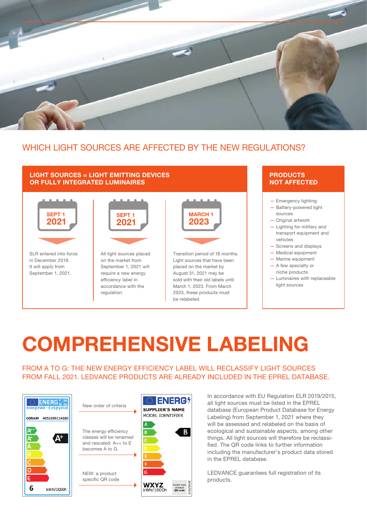

### WHICH LIGHT SOURCES ARE AFFECTED BY THE NEW REGULATIONS?

#### LIGHT SOURCES = LIGHT EMITTING DEVICES OR FULLY INTEGRATED LUMINAIRES



SLR entered into force in December 2019. It will apply from September 1, 2021.



All light sources placed on the market from September 1, 2021 will require a new energy efficiency label in accordance with the regulation.



Light sources that have been placed on the market by August 31, 2021 may be sold with their old labels until March 1, 2023. From March 2023, these products must be relabeled.

### **PRODUCTS** NOT AFFECTED

— Emergency lighting

- Battery-powered light sources
- Original artwork
- Lighting for military and transport equipment and vehicles
- Screens and displays
- Medical equipment
- Marine equipment — A few specialty or
- niche products
- Luminaires with replaceable light sources

# COMPREHENSIVE LABELING

FROM A TO G: THE NEW ENERGY EFFICIENCY LABEL WILL RECLASSIFY LIGHT SOURCES FROM FALL 2021. LEDVANCE PRODUCTS ARE ALREADY INCLUDED IN THE EPREL DATABASE.



New order of criteria

The energy efficiency classes will be renamed and rescaled: A++ to E becomes A to G.

NEW: a product specific QR code



In accordance with EU Regulation ELR 2019/2015, all light sources must be listed in the EPREL database (European Product Database for Energy Labeling) from September 1, 2021 where they will be assessed and relabeled on the basis of ecological and sustainable aspects, among other things. All light sources will therefore be reclassified. The QR code links to further information including the manufacturer's product data stored in the EPREL database.

LEDVANCE guarantees full registration of its products.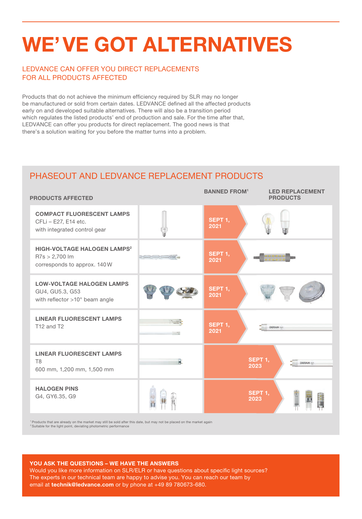## WE'VE GOT ALTERNATIVES

### LEDVANCE CAN OFFER YOU DIRECT REPLACEMENTS FOR ALL PRODUCTS AFFECTED

Products that do not achieve the minimum efficiency required by SLR may no longer be manufactured or sold from certain dates. LEDVANCE defined all the affected products early on and developed suitable alternatives. There will also be a transition period which regulates the listed products' end of production and sale. For the time after that, LEDVANCE can offer you products for direct replacement. The good news is that there's a solution waiting for you before the matter turns into a problem.

### PHASEOUT AND LEDVANCE REPLACEMENT PRODUCTS

| <b>PRODUCTS AFFECTED</b>                                                                                                                                                                             |   | <b>BANNED FROM<sup>1</sup></b> | <b>LED REPLACEMENT</b><br><b>PRODUCTS</b> |
|------------------------------------------------------------------------------------------------------------------------------------------------------------------------------------------------------|---|--------------------------------|-------------------------------------------|
| <b>COMPACT FLUORESCENT LAMPS</b><br>CFLi - E27, E14 etc.<br>with integrated control gear                                                                                                             |   | SEPT 1,<br>2021                |                                           |
| <b>HIGH-VOLTAGE HALOGEN LAMPS<sup>2</sup></b><br>$R7s > 2,700$ lm<br>corresponds to approx. 140W                                                                                                     |   | SEPT 1,<br>2021                | 0000000                                   |
| <b>LOW-VOLTAGE HALOGEN LAMPS</b><br>GU4, GU5.3, G53<br>with reflector >10° beam angle                                                                                                                |   | SEPT 1,<br>2021                |                                           |
| <b>LINEAR FLUORESCENT LAMPS</b><br>T12 and T2                                                                                                                                                        |   | SEPT 1,<br>2021                | OSRAM -                                   |
| <b>LINEAR FLUORESCENT LAMPS</b><br>T <sub>8</sub><br>600 mm, 1,200 mm, 1,500 mm                                                                                                                      | 貮 |                                | SEPT 1,<br>OSRAM<br>2023                  |
| <b>HALOGEN PINS</b><br>G4, GY6.35, G9                                                                                                                                                                |   |                                | SEPT 1,<br>2023                           |
| Products that are already on the market may still be sold after this date, but may not be placed on the market again<br><sup>2</sup> Suitable for the light point, deviating photometric performance |   |                                |                                           |

#### YOU ASK THE QUESTIONS – WE HAVE THE ANSWERS

Would you like more information on SLR/ELR or have questions about specific light sources? The experts in our technical team are happy to advise you. You can reach our team by email at technik@ledvance.com or by phone at +49 89 780673-680.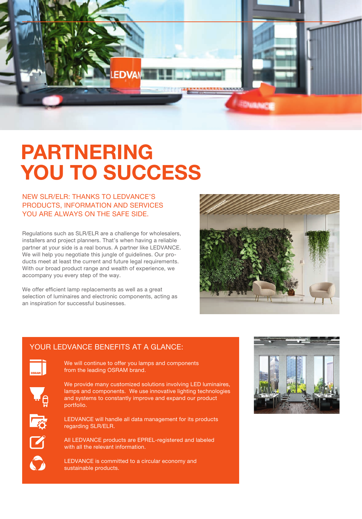

## PARTNERING YOU TO SUCCESS

### NEW SLR/ELR: THANKS TO LEDVANCE'S PRODUCTS, INFORMATION AND SERVICES YOU ARE ALWAYS ON THE SAFE SIDE.

Regulations such as SLR/ELR are a challenge for wholesalers, installers and project planners. That's when having a reliable partner at your side is a real bonus. A partner like LEDVANCE. We will help you negotiate this jungle of quidelines. Our products meet at least the current and future legal requirements. With our broad product range and wealth of experience, we accompany you every step of the way.

We offer efficient lamp replacements as well as a great selection of luminaires and electronic components, acting as an inspiration for successful businesses.



### YOUR LEDVANCE BENEFITS AT A GLANCE:



We will continue to offer you lamps and components from the leading OSRAM brand.



We provide many customized solutions involving LED luminaires, lamps and components. We use innovative lighting technologies and systems to constantly improve and expand our product portfolio.



LEDVANCE will handle all data management for its products regarding SLR/ELR.



All LEDVANCE products are EPREL-registered and labeled with all the relevant information.

LEDVANCE is committed to a circular economy and sustainable products.